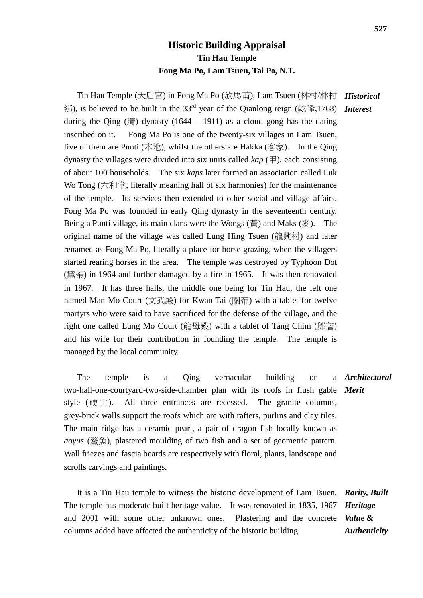## **Historic Building Appraisal Tin Hau Temple Fong Ma Po, Lam Tsuen, Tai Po, N.T.**

Tin Hau Temple (天后宮) in Fong Ma Po (放馬莆), Lam Tsuen (林村/林村 *Historical* 鄉), is believed to be built in the 33rd year of the Qianlong reign (乾隆,1768) *Interest* during the Qing  $(\ddot{\bar{\sigma}})$  dynasty (1644 – 1911) as a cloud gong has the dating inscribed on it. Fong Ma Po is one of the twenty-six villages in Lam Tsuen, five of them are Punti (本地), whilst the others are Hakka (客家). In the Qing dynasty the villages were divided into six units called *kap* (甲), each consisting of about 100 households. The six *kaps* later formed an association called Luk Wo Tong (六和堂, literally meaning hall of six harmonies) for the maintenance of the temple. Its services then extended to other social and village affairs. Fong Ma Po was founded in early Qing dynasty in the seventeenth century. Being a Punti village, its main clans were the Wongs (黃) and Maks (麥). The original name of the village was called Lung Hing Tsuen (龍興村) and later renamed as Fong Ma Po, literally a place for horse grazing, when the villagers started rearing horses in the area. The temple was destroyed by Typhoon Dot (黛蒂) in 1964 and further damaged by a fire in 1965. It was then renovated in 1967. It has three halls, the middle one being for Tin Hau, the left one named Man Mo Court (文武殿) for Kwan Tai (關帝) with a tablet for twelve martyrs who were said to have sacrificed for the defense of the village, and the right one called Lung Mo Court (龍母殿) with a tablet of Tang Chim (鄧詹) and his wife for their contribution in founding the temple. The temple is managed by the local community.

The temple is a Oing vernacular building on two-hall-one-courtyard-two-side-chamber plan with its roofs in flush gable *Merit* style  $(\overline{\text{H}} \text{L})$ . All three entrances are recessed. The granite columns, grey-brick walls support the roofs which are with rafters, purlins and clay tiles. The main ridge has a ceramic pearl, a pair of dragon fish locally known as *aoyus* (鰲魚), plastered moulding of two fish and a set of geometric pattern. Wall friezes and fascia boards are respectively with floral, plants, landscape and scrolls carvings and paintings. *Architectural*

 It is a Tin Hau temple to witness the historic development of Lam Tsuen. *Rarity, Built*  The temple has moderate built heritage value. It was renovated in 1835, 1967 and 2001 with some other unknown ones. Plastering and the concrete *Value &* columns added have affected the authenticity of the historic building. *Heritage Authenticity*